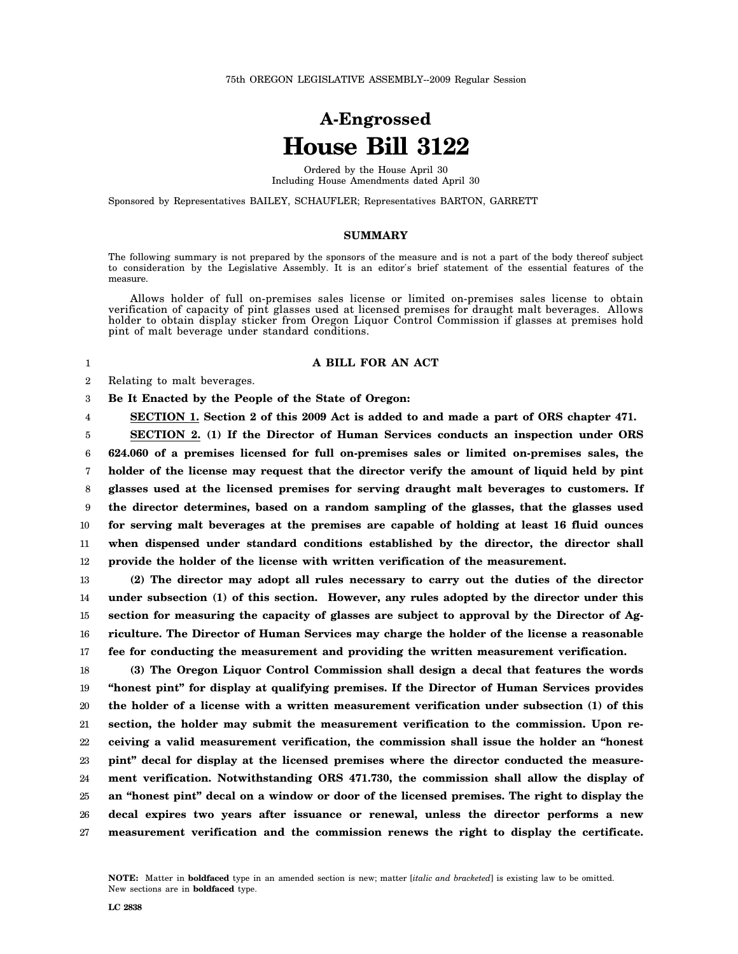# **A-Engrossed House Bill 3122**

Ordered by the House April 30 Including House Amendments dated April 30

Sponsored by Representatives BAILEY, SCHAUFLER; Representatives BARTON, GARRETT

### **SUMMARY**

The following summary is not prepared by the sponsors of the measure and is not a part of the body thereof subject to consideration by the Legislative Assembly. It is an editor′s brief statement of the essential features of the measure.

Allows holder of full on-premises sales license or limited on-premises sales license to obtain verification of capacity of pint glasses used at licensed premises for draught malt beverages. Allows holder to obtain display sticker from Oregon Liquor Control Commission if glasses at premises hold pint of malt beverage under standard conditions.

#### 1

4

#### **A BILL FOR AN ACT**

2 Relating to malt beverages.

3 **Be It Enacted by the People of the State of Oregon:**

**SECTION 1. Section 2 of this 2009 Act is added to and made a part of ORS chapter 471.**

5 6 7 8 9 10 11 12 **SECTION 2. (1) If the Director of Human Services conducts an inspection under ORS 624.060 of a premises licensed for full on-premises sales or limited on-premises sales, the holder of the license may request that the director verify the amount of liquid held by pint glasses used at the licensed premises for serving draught malt beverages to customers. If the director determines, based on a random sampling of the glasses, that the glasses used for serving malt beverages at the premises are capable of holding at least 16 fluid ounces when dispensed under standard conditions established by the director, the director shall provide the holder of the license with written verification of the measurement.**

13 14 15 16 17 **(2) The director may adopt all rules necessary to carry out the duties of the director under subsection (1) of this section. However, any rules adopted by the director under this section for measuring the capacity of glasses are subject to approval by the Director of Agriculture. The Director of Human Services may charge the holder of the license a reasonable fee for conducting the measurement and providing the written measurement verification.**

18 19 20 21 22 23 24 25 26 27 **(3) The Oregon Liquor Control Commission shall design a decal that features the words "honest pint" for display at qualifying premises. If the Director of Human Services provides the holder of a license with a written measurement verification under subsection (1) of this section, the holder may submit the measurement verification to the commission. Upon receiving a valid measurement verification, the commission shall issue the holder an "honest pint" decal for display at the licensed premises where the director conducted the measurement verification. Notwithstanding ORS 471.730, the commission shall allow the display of an "honest pint" decal on a window or door of the licensed premises. The right to display the decal expires two years after issuance or renewal, unless the director performs a new measurement verification and the commission renews the right to display the certificate.**